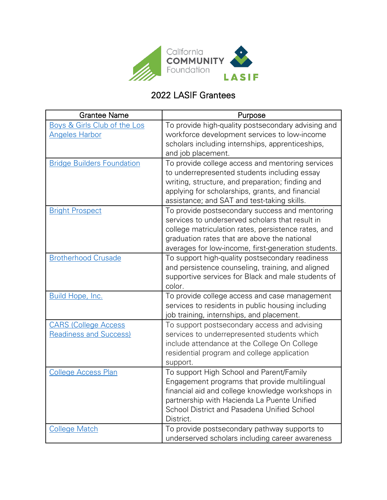

## 2022 LASIF Grantees

| <b>Grantee Name</b>                                          | Purpose                                                                                                                                                                                                                                                         |
|--------------------------------------------------------------|-----------------------------------------------------------------------------------------------------------------------------------------------------------------------------------------------------------------------------------------------------------------|
| Boys & Girls Club of the Los<br><b>Angeles Harbor</b>        | To provide high-quality postsecondary advising and<br>workforce development services to low-income<br>scholars including internships, apprenticeships,<br>and job placement.                                                                                    |
| <b>Bridge Builders Foundation</b>                            | To provide college access and mentoring services<br>to underrepresented students including essay<br>writing, structure, and preparation; finding and<br>applying for scholarships, grants, and financial<br>assistance; and SAT and test-taking skills.         |
| <b>Bright Prospect</b>                                       | To provide postsecondary success and mentoring<br>services to underserved scholars that result in<br>college matriculation rates, persistence rates, and<br>graduation rates that are above the national<br>averages for low-income, first-generation students. |
| <b>Brotherhood Crusade</b>                                   | To support high-quality postsecondary readiness<br>and persistence counseling, training, and aligned<br>supportive services for Black and male students of<br>color.                                                                                            |
| Build Hope, Inc.                                             | To provide college access and case management<br>services to residents in public housing including<br>job training, internships, and placement.                                                                                                                 |
| <b>CARS (College Access</b><br><b>Readiness and Success)</b> | To support postsecondary access and advising<br>services to underrepresented students which<br>include attendance at the College On College<br>residential program and college application<br>support.                                                          |
| <b>College Access Plan</b>                                   | To support High School and Parent/Family<br>Engagement programs that provide multilingual<br>financial aid and college knowledge workshops in<br>partnership with Hacienda La Puente Unified<br>School District and Pasadena Unified School<br>District.        |
| <b>College Match</b>                                         | To provide postsecondary pathway supports to<br>underserved scholars including career awareness                                                                                                                                                                 |